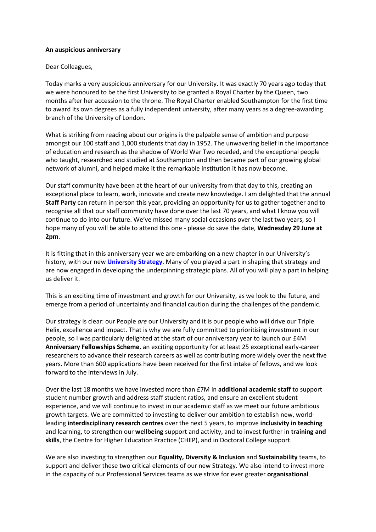## **An auspicious anniversary**

Dear Colleagues,

Today marks a very auspicious anniversary for our University. It was exactly 70 years ago today that we were honoured to be the first University to be granted a Royal Charter by the Queen, two months after her accession to the throne. The Royal Charter enabled Southampton for the first time to award its own degrees as a fully independent university, after many years as a degree-awarding branch of the University of London.

What is striking from reading about our origins is the palpable sense of ambition and purpose amongst our 100 staff and 1,000 students that day in 1952. The unwavering belief in the importance of education and research as the shadow of World War Two receded, and the exceptional people who taught, researched and studied at Southampton and then became part of our growing global network of alumni, and helped make it the remarkable institution it has now become.

Our staff community have been at the heart of our university from that day to this, creating an exceptional place to learn, work, innovate and create new knowledge. I am delighted that the annual **Staff Party** can return in person this year, providing an opportunity for us to gather together and to recognise all that our staff community have done over the last 70 years, and what I know you will continue to do into our future. We've missed many social occasions over the last two years, so I hope many of you will be able to attend this one - please do save the date, **Wednesday 29 June at 2pm**.

It is fitting that in this anniversary year we are embarking on a new chapter in our University's history, with our new **[University Strategy](https://www.southampton.ac.uk/campaigns/strategy)**. Many of you played a part in shaping that strategy and are now engaged in developing the underpinning strategic plans. All of you will play a part in helping us deliver it.

This is an exciting time of investment and growth for our University, as we look to the future, and emerge from a period of uncertainty and financial caution during the challenges of the pandemic.

Our strategy is clear: our People *are* our University and it is our people who will drive our Triple Helix, excellence and impact. That is why we are fully committed to prioritising investment in our people, so I was particularly delighted at the start of our anniversary year to launch our £4M **Anniversary Fellowships Scheme**, an exciting opportunity for at least 25 exceptional early-career researchers to advance their research careers as well as contributing more widely over the next five years. More than 600 applications have been received for the first intake of fellows, and we look forward to the interviews in July.

Over the last 18 months we have invested more than £7M in **additional academic staff** to support student number growth and address staff student ratios, and ensure an excellent student experience, and we will continue to invest in our academic staff as we meet our future ambitious growth targets. We are committed to investing to deliver our ambition to establish new, worldleading **interdisciplinary research centres** over the next 5 years, to improve **inclusivity in teaching** and learning, to strengthen our **wellbeing** support and activity, and to invest further in **training and skills**, the Centre for Higher Education Practice (CHEP), and in Doctoral College support.

We are also investing to strengthen our **Equality, Diversity & Inclusion** and **Sustainability** teams, to support and deliver these two critical elements of our new Strategy. We also intend to invest more in the capacity of our Professional Services teams as we strive for ever greater **organisational**